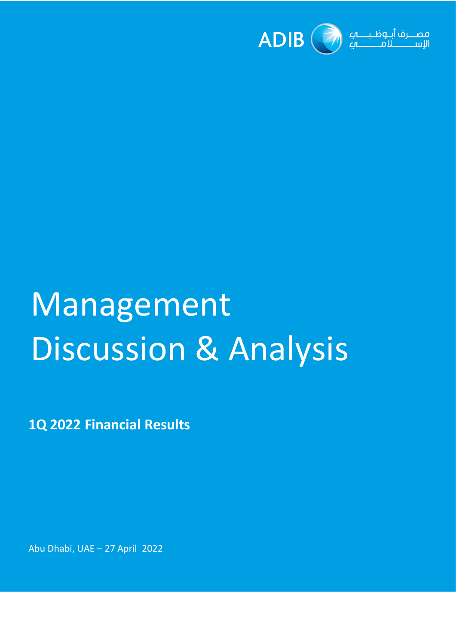

# Management Discussion & Analysis

**1Q 2022 Financial Results** 

Abu Dhabi, UAE – 27 April 2022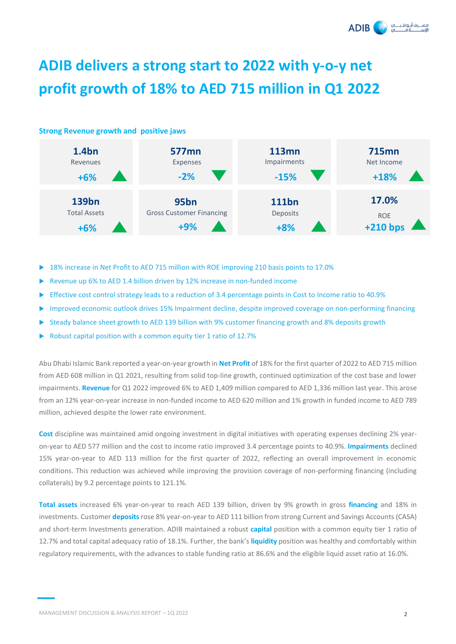

# **ADIB delivers a strong start to 2022 with y-o-y net profit growth of 18% to AED 715 million in Q1 2022**

#### **Strong Revenue growth and positive jaws 139bn** Total Assets **+6% 95bn 111bn 17.0%**  Gross Customer Financing **Deposits** Deposits **ROE +9% +8% 1.4bn** Revenues **+6% 577mn 113mn 715mn**  Expenses Impairments Net Income **-2% -15% +18% +210 bps**

- 18% increase in Net Profit to AED 715 million with ROE improving 210 basis points to 17.0%
- Revenue up 6% to AED 1.4 billion driven by 12% increase in non-funded income
- Effective cost control strategy leads to a reduction of 3.4 percentage points in Cost to Income ratio to 40.9%
- Improved economic outlook drives 15% Impairment decline, despite improved coverage on non-performing financing
- Steady balance sheet growth to AED 139 billion with 9% customer financing growth and 8% deposits growth
- Robust capital position with a common equity tier 1 ratio of 12.7%

Abu Dhabi Islamic Bank reported a year-on-year growth in **Net Profit** of 18% for the first quarter of 2022 to AED 715 million from AED 608 million in Q1 2021, resulting from solid top-line growth, continued optimization of the cost base and lower impairments. **Revenue** for Q1 2022 improved 6% to AED 1,409 million compared to AED 1,336 million last year. This arose from an 12% year-on-year increase in non-funded income to AED 620 million and 1% growth in funded income to AED 789 million, achieved despite the lower rate environment.

**Cost** discipline was maintained amid ongoing investment in digital initiatives with operating expenses declining 2% yearon-year to AED 577 million and the cost to income ratio improved 3.4 percentage points to 40.9%. **Impairments** declined 15% year-on-year to AED 113 million for the first quarter of 2022, reflecting an overall improvement in economic conditions. This reduction was achieved while improving the provision coverage of non-performing financing (including collaterals) by 9.2 percentage points to 121.1%.

**Total assets** increased 6% year-on-year to reach AED 139 billion, driven by 9% growth in gross **financing** and 18% in investments. Customer **deposits** rose 8% year-on-year to AED 111 billion from strong Current and Savings Accounts (CASA) and short-term Investments generation. ADIB maintained a robust **capital** position with a common equity tier 1 ratio of 12.7% and total capital adequacy ratio of 18.1%. Further, the bank's **liquidity** position was healthy and comfortably within regulatory requirements, with the advances to stable funding ratio at 86.6% and the eligible liquid asset ratio at 16.0%.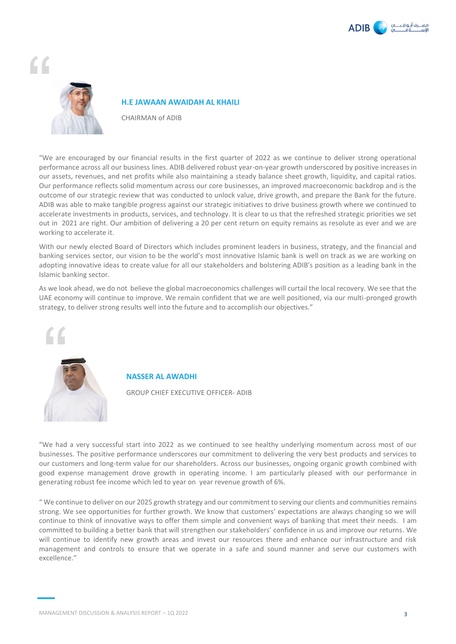



#### **H.E JAWAAN AWAIDAH AL KHAILI**

CHAIRMAN of ADIB

"We are encouraged by our financial results in the first quarter of 2022 as we continue to deliver strong operational performance across all our business lines. ADIB delivered robust year-on-year growth underscored by positive increases in our assets, revenues, and net profits while also maintaining a steady balance sheet growth, liquidity, and capital ratios. Our performance reflects solid momentum across our core businesses, an improved macroeconomic backdrop and is the outcome of our strategic review that was conducted to unlock value, drive growth, and prepare the Bank for the future. ADIB was able to make tangible progress against our strategic initiatives to drive business growth where we continued to accelerate investments in products, services, and technology. It is clear to us that the refreshed strategic priorities we set out in 2021 are right. Our ambition of delivering a 20 per cent return on equity remains as resolute as ever and we are working to accelerate it.

With our newly elected Board of Directors which includes prominent leaders in business, strategy, and the financial and banking services sector, our vision to be the world's most innovative Islamic bank is well on track as we are working on adopting innovative ideas to create value for all our stakeholders and bolstering ADIB's position as a leading bank in the Islamic banking sector.

As we look ahead, we do not believe the global macroeconomics challenges will curtail the local recovery. We see that the UAE economy will continue to improve. We remain confident that we are well positioned, via our multi-pronged growth strategy, to deliver strong results well into the future and to accomplish our objectives."



## **NASSER AL AWADHI**

GROUP CHIEF EXECUTIVE OFFICER- ADIB

"We had a very successful start into 2022 as we continued to see healthy underlying momentum across most of our businesses. The positive performance underscores our commitment to delivering the very best products and services to our customers and long-term value for our shareholders. Across our businesses, ongoing organic growth combined with good expense management drove growth in operating income. I am particularly pleased with our performance in generating robust fee income which led to year on year revenue growth of 6%.

" We continue to deliver on our 2025 growth strategy and our commitment to serving our clients and communities remains strong. We see opportunities for further growth. We know that customers' expectations are always changing so we will continue to think of innovative ways to offer them simple and convenient ways of banking that meet their needs. I am committed to building a better bank that will strengthen our stakeholders' confidence in us and improve our returns. We will continue to identify new growth areas and invest our resources there and enhance our infrastructure and risk management and controls to ensure that we operate in a safe and sound manner and serve our customers with excellence."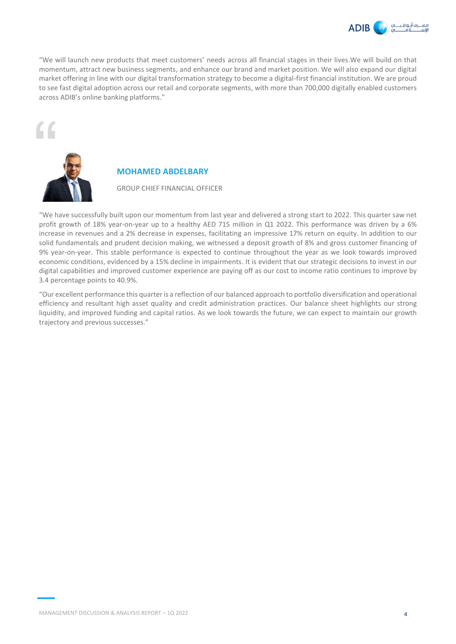

"We will launch new products that meet customers' needs across all financial stages in their lives.We will build on that momentum, attract new business segments, and enhance our brand and market position. We will also expand our digital market offering in line with our digital transformation strategy to become a digital-first financial institution. We are proud to see fast digital adoption across our retail and corporate segments, with more than 700,000 digitally enabled customers across ADIB's online banking platforms."





# **MOHAMED ABDELBARY**

GROUP CHIEF FINANCIAL OFFICER

"We have successfully built upon our momentum from last year and delivered a strong start to 2022. This quarter saw net profit growth of 18% year-on-year up to a healthy AED 715 million in Q1 2022. This performance was driven by a 6% increase in revenues and a 2% decrease in expenses, facilitating an impressive 17% return on equity. In addition to our solid fundamentals and prudent decision making, we witnessed a deposit growth of 8% and gross customer financing of 9% year-on-year. This stable performance is expected to continue throughout the year as we look towards improved economic conditions, evidenced by a 15% decline in impairments. It is evident that our strategic decisions to invest in our digital capabilities and improved customer experience are paying off as our cost to income ratio continues to improve by 3.4 percentage points to 40.9%.

"Our excellent performance this quarter is a reflection of our balanced approach to portfolio diversification and operational efficiency and resultant high asset quality and credit administration practices. Our balance sheet highlights our strong liquidity, and improved funding and capital ratios. As we look towards the future, we can expect to maintain our growth trajectory and previous successes."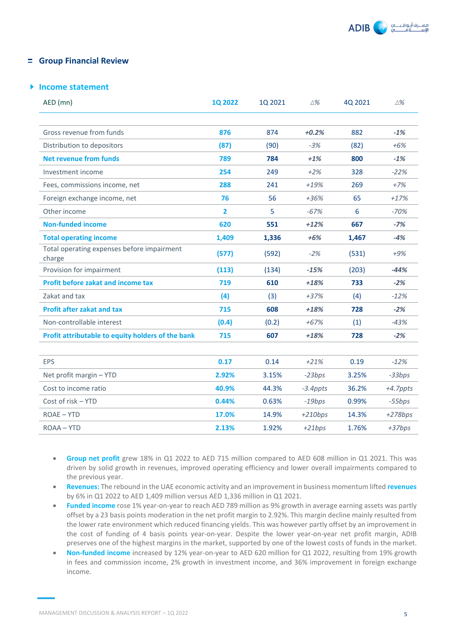

# **Group Financial Review**

# **Income statement**

| AED (mn)                                             | 1Q 2022        | 1Q 2021 | $\triangle$ % | 4Q 2021 | $\triangle$ % |
|------------------------------------------------------|----------------|---------|---------------|---------|---------------|
|                                                      |                |         |               |         |               |
| Gross revenue from funds                             | 876            | 874     | $+0.2%$       | 882     | $-1%$         |
| Distribution to depositors                           | (87)           | (90)    | $-3%$         | (82)    | $+6%$         |
| <b>Net revenue from funds</b>                        | 789            | 784     | $+1%$         | 800     | $-1%$         |
| Investment income                                    | 254            | 249     | $+2%$         | 328     | $-22%$        |
| Fees, commissions income, net                        | 288            | 241     | $+19%$        | 269     | $+7%$         |
| Foreign exchange income, net                         | 76             | 56      | $+36%$        | 65      | $+17%$        |
| Other income                                         | $\overline{2}$ | 5       | $-67%$        | 6       | $-70%$        |
| <b>Non-funded income</b>                             | 620            | 551     | $+12%$        | 667     | $-7%$         |
| <b>Total operating income</b>                        | 1,409          | 1,336   | $+6%$         | 1,467   | $-4%$         |
| Total operating expenses before impairment<br>charge | (577)          | (592)   | $-2%$         | (531)   | $+9%$         |
| Provision for impairment                             | (113)          | (134)   | $-15%$        | (203)   | $-44%$        |
| <b>Profit before zakat and income tax</b>            | 719            | 610     | $+18%$        | 733     | $-2%$         |
| Zakat and tax                                        | (4)            | (3)     | $+37%$        | (4)     | $-12%$        |
| <b>Profit after zakat and tax</b>                    | 715            | 608     | $+18%$        | 728     | $-2%$         |
| Non-controllable interest                            | (0.4)          | (0.2)   | $+67%$        | (1)     | $-43%$        |
| Profit attributable to equity holders of the bank    | 715            | 607     | $+18%$        | 728     | $-2%$         |
|                                                      |                |         |               |         |               |
| EPS                                                  | 0.17           | 0.14    | $+21%$        | 0.19    | $-12%$        |
| Net profit margin - YTD                              | 2.92%          | 3.15%   | $-23bps$      | 3.25%   | $-33bps$      |
| Cost to income ratio                                 | 40.9%          | 44.3%   | $-3.4$ ppts   | 36.2%   | $+4.7$ ppts   |
| Cost of risk - YTD                                   | 0.44%          | 0.63%   | $-19bps$      | 0.99%   | $-55bps$      |
| ROAE - YTD                                           | 17.0%          | 14.9%   | $+210bps$     | 14.3%   | $+278bps$     |
| ROAA - YTD                                           | 2.13%          | 1.92%   | $+21bps$      | 1.76%   | $+37bps$      |

- **Group net profit** grew 18% in Q1 2022 to AED 715 million compared to AED 608 million in Q1 2021. This was driven by solid growth in revenues, improved operating efficiency and lower overall impairments compared to the previous year.
- **Revenues:** The rebound in the UAE economic activity and an improvement in business momentum lifted **revenues** by 6% in Q1 2022 to AED 1,409 million versus AED 1,336 million in Q1 2021.
- **Funded income** rose 1% year-on-year to reach AED 789 million as 9% growth in average earning assets was partly offset by a 23 basis points moderation in the net profit margin to 2.92%. This margin decline mainly resulted from the lower rate environment which reduced financing yields. This was however partly offset by an improvement in the cost of funding of 4 basis points year-on-year. Despite the lower year-on-year net profit margin, ADIB preserves one of the highest margins in the market, supported by one of the lowest costs of funds in the market.
- **Non-funded income** increased by 12% year-on-year to AED 620 million for Q1 2022, resulting from 19% growth in fees and commission income, 2% growth in investment income, and 36% improvement in foreign exchange income.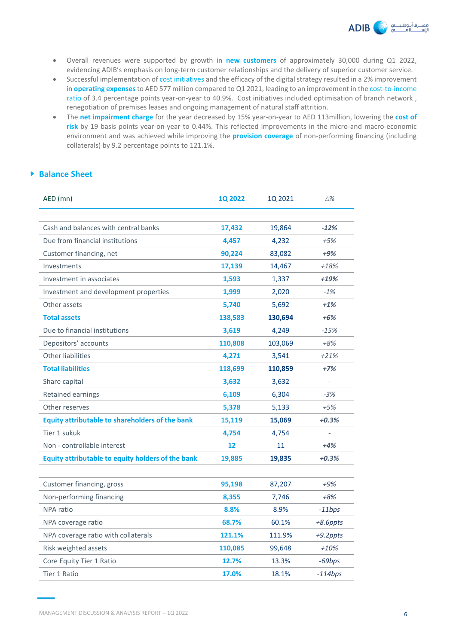

- Overall revenues were supported by growth in **new customers** of approximately 30,000 during Q1 2022, evidencing ADIB's emphasis on long-term customer relationships and the delivery of superior customer service.
- Successful implementation of cost initiatives and the efficacy of the digital strategy resulted in a 2% improvement in **operating expenses** to AED 577 million compared to Q1 2021, leading to an improvement in the cost-to-income ratio of 3.4 percentage points year-on-year to 40.9%. Cost initiatives included optimisation of branch network , renegotiation of premises leases and ongoing management of natural staff attrition.
- The **net impairment charge** for the year decreased by 15% year-on-year to AED 113million, lowering the **cost of risk** by 19 basis points year-on-year to 0.44%. This reflected improvements in the micro-and macro-economic environment and was achieved while improving the **provision coverage** of non-performing financing (including collaterals) by 9.2 percentage points to 121.1%.

# **Balance Sheet**

| AED (mn)                                               | <b>1Q 2022</b> | 1Q 2021 | $\triangle \%$ |
|--------------------------------------------------------|----------------|---------|----------------|
|                                                        |                |         |                |
| Cash and balances with central banks                   | 17,432         | 19,864  | $-12%$         |
| Due from financial institutions                        | 4,457          | 4,232   | $+5%$          |
| Customer financing, net                                | 90,224         | 83,082  | +9%            |
| Investments                                            | 17,139         | 14,467  | $+18%$         |
| Investment in associates                               | 1,593          | 1,337   | $+19%$         |
| Investment and development properties                  | 1,999          | 2,020   | $-1%$          |
| Other assets                                           | 5,740          | 5,692   | $+1%$          |
| <b>Total assets</b>                                    | 138,583        | 130,694 | $+6%$          |
| Due to financial institutions                          | 3,619          | 4,249   | $-15%$         |
| Depositors' accounts                                   | 110,808        | 103,069 | $+8%$          |
| <b>Other liabilities</b>                               | 4,271          | 3,541   | $+21%$         |
| <b>Total liabilities</b>                               | 118,699        | 110,859 | $+7%$          |
| Share capital                                          | 3,632          | 3,632   | $\overline{a}$ |
| Retained earnings                                      | 6,109          | 6,304   | $-3%$          |
| Other reserves                                         | 5,378          | 5,133   | $+5%$          |
| <b>Equity attributable to shareholders of the bank</b> | 15,119         | 15,069  | $+0.3%$        |
| Tier 1 sukuk                                           | 4,754          | 4,754   | $\frac{1}{2}$  |
| Non - controllable interest                            | 12             | 11      | $+4%$          |
| Equity attributable to equity holders of the bank      | 19,885         | 19,835  | $+0.3%$        |
|                                                        |                |         |                |
| Customer financing, gross                              | 95,198         | 87,207  | $+9%$          |
| Non-performing financing                               | 8,355          | 7,746   | $+8%$          |
| <b>NPA</b> ratio                                       | 8.8%           | 8.9%    | $-11bps$       |
| NPA coverage ratio                                     | 68.7%          | 60.1%   | +8.6ppts       |
| NPA coverage ratio with collaterals                    | 121.1%         | 111.9%  | +9.2ppts       |
| Risk weighted assets                                   | 110,085        | 99,648  | $+10%$         |
| Core Equity Tier 1 Ratio                               | 12.7%          | 13.3%   | -69bps         |
| Tier 1 Ratio                                           | 17.0%          | 18.1%   | $-114bps$      |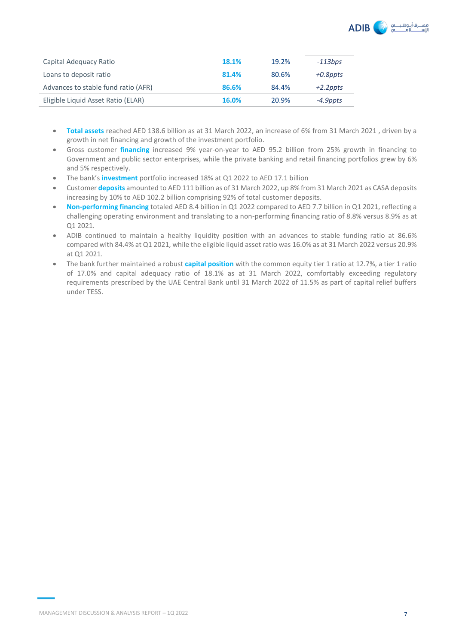

| Capital Adequacy Ratio              | 18.1% | 19.2% | $-113bps$   |
|-------------------------------------|-------|-------|-------------|
| Loans to deposit ratio              | 81.4% | 80.6% | +0.8ppts    |
| Advances to stable fund ratio (AFR) | 86.6% | 84.4% | $+2.2$ ppts |
| Eligible Liquid Asset Ratio (ELAR)  | 16.0% | 20.9% | -4.9ppts    |

- **Total assets** reached AED 138.6 billion as at 31 March 2022, an increase of 6% from 31 March 2021 , driven by a growth in net financing and growth of the investment portfolio.
- Gross customer **financing** increased 9% year-on-year to AED 95.2 billion from 25% growth in financing to Government and public sector enterprises, while the private banking and retail financing portfolios grew by 6% and 5% respectively.
- The bank's **investment** portfolio increased 18% at Q1 2022 to AED 17.1 billion
- Customer **deposits** amounted to AED 111 billion as of 31 March 2022, up 8% from 31 March 2021 as CASA deposits increasing by 10% to AED 102.2 billion comprising 92% of total customer deposits.
- **Non-performing financing** totaled AED 8.4 billion in Q1 2022 compared to AED 7.7 billion in Q1 2021, reflecting a challenging operating environment and translating to a non-performing financing ratio of 8.8% versus 8.9% as at Q1 2021.
- ADIB continued to maintain a healthy liquidity position with an advances to stable funding ratio at 86.6% compared with 84.4% at Q1 2021, while the eligible liquid asset ratio was 16.0% as at 31 March 2022 versus 20.9% at Q1 2021.
- The bank further maintained a robust **capital position** with the common equity tier 1 ratio at 12.7%, a tier 1 ratio of 17.0% and capital adequacy ratio of 18.1% as at 31 March 2022, comfortably exceeding regulatory requirements prescribed by the UAE Central Bank until 31 March 2022 of 11.5% as part of capital relief buffers under TESS.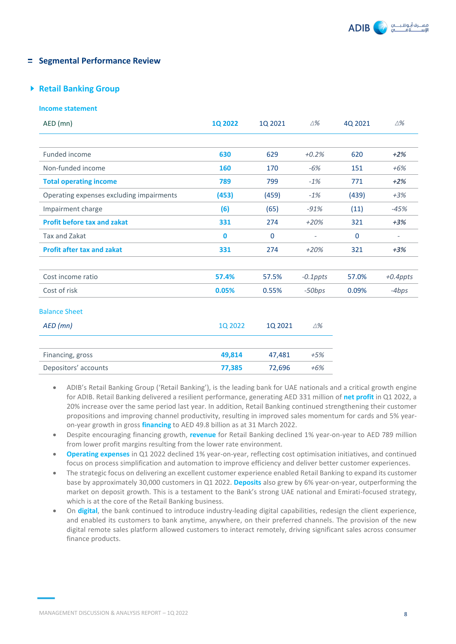

# **Fig. 2** Segmental Performance Review

# **Retail Banking Group**

#### **Income statement**

| AED (mn)                                 | 1Q 2022 | 10 2021     | $\triangle$ %            | 40 2021     | $\triangle$ %            |
|------------------------------------------|---------|-------------|--------------------------|-------------|--------------------------|
|                                          |         |             |                          |             |                          |
| Funded income                            | 630     | 629         | $+0.2%$                  | 620         | $+2%$                    |
| Non-funded income                        | 160     | 170         | $-6%$                    | 151         | $+6%$                    |
| <b>Total operating income</b>            | 789     | 799         | $-1%$                    | 771         | $+2%$                    |
| Operating expenses excluding impairments | (453)   | (459)       | $-1%$                    | (439)       | $+3%$                    |
| Impairment charge                        | (6)     | (65)        | $-91%$                   | (11)        | $-45%$                   |
| <b>Profit before tax and zakat</b>       | 331     | 274         | $+20%$                   | 321         | $+3%$                    |
| Tax and Zakat                            | 0       | $\mathbf 0$ | $\overline{\phantom{a}}$ | $\mathbf 0$ | $\overline{\phantom{a}}$ |
| <b>Profit after tax and zakat</b>        | 331     | 274         | $+20%$                   | 321         | $+3%$                    |
|                                          |         |             |                          |             |                          |
| Cost income ratio                        | 57.4%   | 57.5%       | $-0.1$ ppts              | 57.0%       | $+0.4$ ppts              |
| Cost of risk                             | 0.05%   | 0.55%       | $-50bps$                 | 0.09%       | $-4bps$                  |
| <b>Balance Sheet</b>                     |         |             |                          |             |                          |
| $AED$ (mn)                               | 1Q 2022 | 1Q 2021     | $\triangle \%$           |             |                          |
|                                          |         |             |                          |             |                          |
| Financing, gross                         | 49,814  | 47,481      | $+5%$                    |             |                          |
| Depositors' accounts                     | 77,385  | 72,696      | $+6%$                    |             |                          |

- ADIB's Retail Banking Group ('Retail Banking'), is the leading bank for UAE nationals and a critical growth engine for ADIB. Retail Banking delivered a resilient performance, generating AED 331 million of **net profit** in Q1 2022, a 20% increase over the same period last year. In addition, Retail Banking continued strengthening their customer propositions and improving channel productivity, resulting in improved sales momentum for cards and 5% yearon-year growth in gross **financing** to AED 49.8 billion as at 31 March 2022.
- Despite encouraging financing growth, **revenue** for Retail Banking declined 1% year-on-year to AED 789 million from lower profit margins resulting from the lower rate environment.
- **Operating expenses** in Q1 2022 declined 1% year-on-year, reflecting cost optimisation initiatives, and continued focus on process simplification and automation to improve efficiency and deliver better customer experiences.
- The strategic focus on delivering an excellent customer experience enabled Retail Banking to expand its customer base by approximately 30,000 customers in Q1 2022. **Deposits** also grew by 6% year-on-year, outperforming the market on deposit growth. This is a testament to the Bank's strong UAE national and Emirati-focused strategy, which is at the core of the Retail Banking business.
- On **digital**, the bank continued to introduce industry-leading digital capabilities, redesign the client experience, and enabled its customers to bank anytime, anywhere, on their preferred channels. The provision of the new digital remote sales platform allowed customers to interact remotely, driving significant sales across consumer finance products.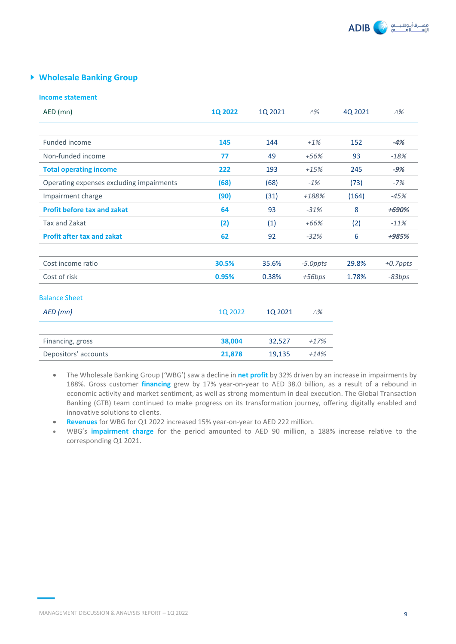

# **Wholesale Banking Group**

#### **Income statement**

| AED (mn)                                 | <b>1Q 2022</b> | 10 2021 | $\triangle\%$ | 40 2021 | $\Delta\%$  |
|------------------------------------------|----------------|---------|---------------|---------|-------------|
|                                          |                |         |               |         |             |
| Funded income                            | 145            | 144     | $+1%$         | 152     | $-4%$       |
| Non-funded income                        | 77             | 49      | $+56%$        | 93      | $-18%$      |
| <b>Total operating income</b>            | 222            | 193     | $+15%$        | 245     | $-9%$       |
| Operating expenses excluding impairments | (68)           | (68)    | $-1%$         | (73)    | $-7%$       |
| Impairment charge                        | (90)           | (31)    | +188%         | (164)   | $-45%$      |
| <b>Profit before tax and zakat</b>       | 64             | 93      | $-31%$        | 8       | +690%       |
| Tax and Zakat                            | (2)            | (1)     | $+66%$        | (2)     | $-11%$      |
| <b>Profit after tax and zakat</b>        | 62             | 92      | $-32%$        | 6       | +985%       |
|                                          |                |         |               |         |             |
| Cost income ratio                        | 30.5%          | 35.6%   | $-5.0$ ppts   | 29.8%   | $+0.7$ ppts |
| Cost of risk                             | 0.95%          | 0.38%   | $+56bps$      | 1.78%   | $-83bps$    |
| <b>Balance Sheet</b>                     |                |         |               |         |             |
| AED (mn)                                 | 1Q 2022        | 1Q 2021 | $\triangle$ % |         |             |
| Financing, gross                         | 38,004         | 32,527  | $+17%$        |         |             |
| Depositors' accounts                     | 21,878         | 19,135  | $+14%$        |         |             |

- The Wholesale Banking Group ('WBG') saw a decline in **net profit** by 32% driven by an increase in impairments by 188%. Gross customer **financing** grew by 17% year-on-year to AED 38.0 billion, as a result of a rebound in economic activity and market sentiment, as well as strong momentum in deal execution. The Global Transaction Banking (GTB) team continued to make progress on its transformation journey, offering digitally enabled and innovative solutions to clients.
- **Revenues** for WBG for Q1 2022 increased 15% year-on-year to AED 222 million.
- WBG's **impairment charge** for the period amounted to AED 90 million, a 188% increase relative to the corresponding Q1 2021.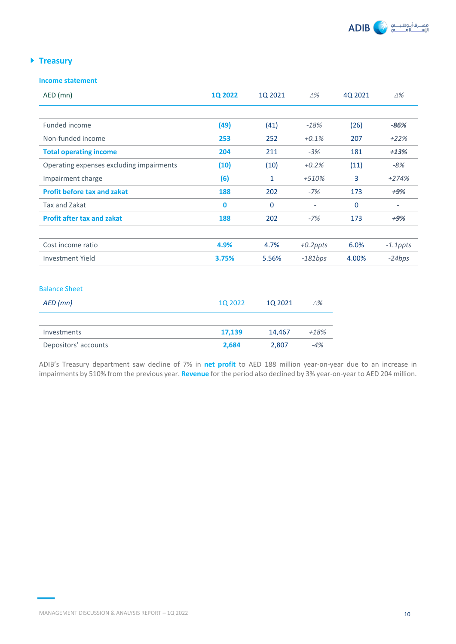

# **Treasury**

# **Income statement**

| AED (mn)                                 | <b>1Q 2022</b> | 1Q 2021      | ∆%                       | 4Q 2021     | $\Delta\%$  |
|------------------------------------------|----------------|--------------|--------------------------|-------------|-------------|
|                                          |                |              |                          |             |             |
| Funded income                            | (49)           | (41)         | $-18%$                   | (26)        | $-86%$      |
| Non-funded income                        | 253            | 252          | $+0.1%$                  | 207         | $+22%$      |
| <b>Total operating income</b>            | 204            | 211          | $-3%$                    | 181         | $+13%$      |
| Operating expenses excluding impairments | (10)           | (10)         | $+0.2%$                  | (11)        | -8%         |
| Impairment charge                        | (6)            | 1            | +510%                    | 3           | $+274%$     |
| <b>Profit before tax and zakat</b>       | 188            | 202          | $-7%$                    | 173         | $+9%$       |
| Tax and Zakat                            | $\bf{0}$       | $\mathbf{0}$ | $\overline{\phantom{a}}$ | $\mathbf 0$ |             |
| <b>Profit after tax and zakat</b>        | 188            | 202          | $-7%$                    | 173         | $+9%$       |
|                                          |                |              |                          |             |             |
| Cost income ratio                        | 4.9%           | 4.7%         | $+0.2$ ppts              | 6.0%        | $-1.1$ ppts |
| Investment Yield                         | 3.75%          | 5.56%        | $-181bps$                | 4.00%       | $-24bps$    |

# Balance Sheet

| AED (mn)             | 10 2022 | 10 2021 | $\triangle \%$ |
|----------------------|---------|---------|----------------|
| Investments          | 17,139  | 14.467  | $+18%$         |
| Depositors' accounts | 2.684   | 2.807   | $-4%$          |
|                      |         |         |                |

ADIB's Treasury department saw decline of 7% in **net profit** to AED 188 million year-on-year due to an increase in impairments by 510% from the previous year. **Revenue** for the period also declined by 3% year-on-year to AED 204 million.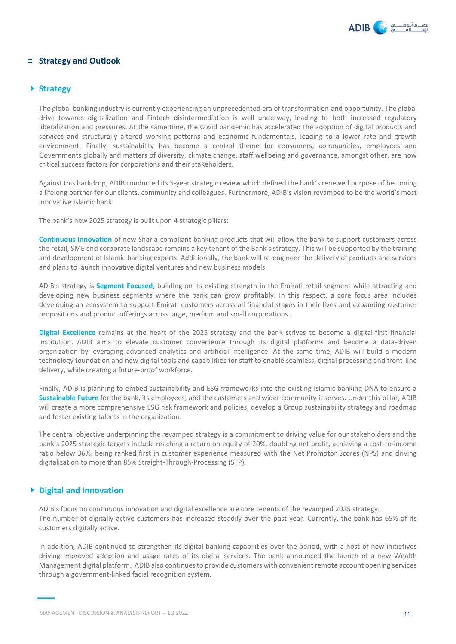

# **Strategy and Outlook**

## **Strategy**

The global banking industry is currently experiencing an unprecedented era of transformation and opportunity. The global drive towards digitalization and Fintech disintermediation is well underway, leading to both increased regulatory liberalization and pressures. At the same time, the Covid pandemic has accelerated the adoption of digital products and services and structurally altered working patterns and economic fundamentals, leading to a lower rate and growth environment. Finally, sustainability has become a central theme for consumers, communities, employees and Governments globally and matters of diversity, climate change, staff wellbeing and governance, amongst other, are now critical success factors for corporations and their stakeholders.

Against this backdrop, ADIB conducted its 5-year strategic review which defined the bank's renewed purpose of becoming a lifelong partner for our clients, community and colleagues. Furthermore, ADIB's vision revamped to be the world's most innovative Islamic bank.

The bank's new 2025 strategy is built upon 4 strategic pillars:

**Continuous Innovation** of new Sharia-compliant banking products that will allow the bank to support customers across the retail, SME and corporate landscape remains a key tenant of the Bank's strategy. This will be supported by the training and development of Islamic banking experts. Additionally, the bank will re-engineer the delivery of products and services and plans to launch innovative digital ventures and new business models.

ADIB's strategy is **Segment Focused**, building on its existing strength in the Emirati retail segment while attracting and developing new business segments where the bank can grow profitably. In this respect, a core focus area includes developing an ecosystem to support Emirati customers across all financial stages in their lives and expanding customer propositions and product offerings across large, medium and small corporations.

**Digital Excellence** remains at the heart of the 2025 strategy and the bank strives to become a digital-first financial institution. ADIB aims to elevate customer convenience through its digital platforms and become a data-driven organization by leveraging advanced analytics and artificial intelligence. At the same time, ADIB will build a modern technology foundation and new digital tools and capabilities for staff to enable seamless, digital processing and front-line delivery, while creating a future-proof workforce.

Finally, ADIB is planning to embed sustainability and ESG frameworks into the existing Islamic banking DNA to ensure a **Sustainable Future** for the bank, its employees, and the customers and wider community it serves. Under this pillar, ADIB will create a more comprehensive ESG risk framework and policies, develop a Group sustainability strategy and roadmap and foster existing talents in the organization.

The central objective underpinning the revamped strategy is a commitment to driving value for our stakeholders and the bank's 2025 strategic targets include reaching a return on equity of 20%, doubling net profit, achieving a cost-to-income ratio below 36%, being ranked first in customer experience measured with the Net Promotor Scores (NPS) and driving digitalization to more than 85% Straight-Through-Processing (STP).

# **Digital and Innovation**

ADIB's focus on continuous innovation and digital excellence are core tenents of the revamped 2025 strategy. The number of digitally active customers has increased steadily over the past year. Currently, the bank has 65% of its customers digitally active.

In addition, ADIB continued to strengthen its digital banking capabilities over the period, with a host of new initiatives driving improved adoption and usage rates of its digital services. The bank announced the launch of a new Wealth Management digital platform. ADIB also continues to provide customers with convenient remote account opening services through a government-linked facial recognition system.